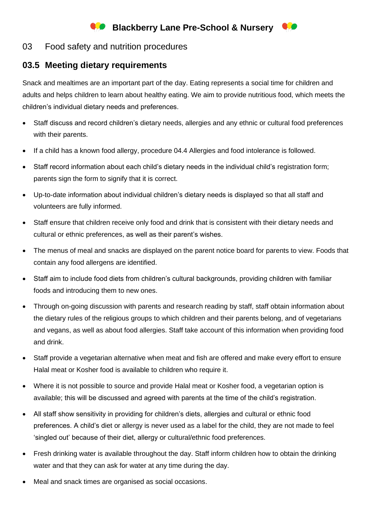## **Blackberry Lane Pre-School & Nursery**

## 03 Food safety and nutrition procedures

## **03.5 Meeting dietary requirements**

Snack and mealtimes are an important part of the day. Eating represents a social time for children and adults and helps children to learn about healthy eating. We aim to provide nutritious food, which meets the children's individual dietary needs and preferences.

- Staff discuss and record children's dietary needs, allergies and any ethnic or cultural food preferences with their parents.
- If a child has a known food allergy, procedure 04.4 Allergies and food intolerance is followed.
- Staff record information about each child's dietary needs in the individual child's registration form; parents sign the form to signify that it is correct.
- Up-to-date information about individual children's dietary needs is displayed so that all staff and volunteers are fully informed.
- Staff ensure that children receive only food and drink that is consistent with their dietary needs and cultural or ethnic preferences, as well as their parent's wishes.
- The menus of meal and snacks are displayed on the parent notice board for parents to view. Foods that contain any food allergens are identified.
- Staff aim to include food diets from children's cultural backgrounds, providing children with familiar foods and introducing them to new ones.
- Through on-going discussion with parents and research reading by staff, staff obtain information about the dietary rules of the religious groups to which children and their parents belong, and of vegetarians and vegans, as well as about food allergies. Staff take account of this information when providing food and drink.
- Staff provide a vegetarian alternative when meat and fish are offered and make every effort to ensure Halal meat or Kosher food is available to children who require it.
- Where it is not possible to source and provide Halal meat or Kosher food, a vegetarian option is available; this will be discussed and agreed with parents at the time of the child's registration.
- All staff show sensitivity in providing for children's diets, allergies and cultural or ethnic food preferences. A child's diet or allergy is never used as a label for the child, they are not made to feel 'singled out' because of their diet, allergy or cultural/ethnic food preferences.
- Fresh drinking water is available throughout the day. Staff inform children how to obtain the drinking water and that they can ask for water at any time during the day.
- Meal and snack times are organised as social occasions.